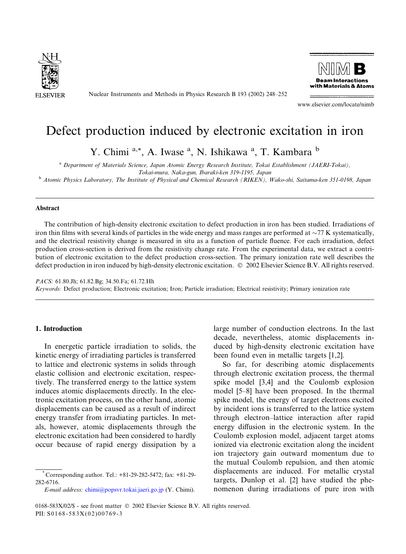

Nuclear Instruments and Methods in Physics Research B 193 (2002) 248–252



www.elsevier.com/locate/nimb

# Defect production induced by electronic excitation in iron

Y. Chimi <sup>a,\*</sup>, A. Iwase <sup>a</sup>, N. Ishikawa <sup>a</sup>, T. Kambara <sup>b</sup>

<sup>a</sup> Department of Materials Science, Japan Atomic Energy Research Institute, Tokai Establishment (JAERI-Tokai),

Tokai-mura, Naka-gun, Ibaraki-ken 319-1195, Japan

<sup>b</sup> Atomic Physics Laboratory, The Institute of Physical and Chemical Research (RIKEN), Wako-shi, Saitama-ken 351-0198, Japan

#### Abstract

The contribution of high-density electronic excitation to defect production in iron has been studied. Irradiations of iron thin films with several kinds of particles in the wide energy and mass ranges are performed at  $\sim$ 77 K systematically, and the electrical resistivity change is measured in situ as a function of particle fluence. For each irradiation, defect production cross-section is derived from the resistivity change rate. From the experimental data, we extract a contribution of electronic excitation to the defect production cross-section. The primary ionization rate well describes the defect production in iron induced by high-density electronic excitation.  $\degree$  2002 Elsevier Science B.V. All rights reserved.

PACS: 61.80.Jh; 61.82.Bg; 34.50.Fa; 61.72.Hh Keywords: Defect production; Electronic excitation; Iron; Particle irradiation; Electrical resistivity; Primary ionization rate

# 1. Introduction

In energetic particle irradiation to solids, the kinetic energy of irradiating particles is transferred to lattice and electronic systems in solids through elastic collision and electronic excitation, respectively. The transferred energy to the lattice system induces atomic displacements directly. In the electronic excitation process, on the other hand, atomic displacements can be caused as a result of indirect energy transfer from irradiating particles. In metals, however, atomic displacements through the electronic excitation had been considered to hardly occur because of rapid energy dissipation by a

E-mail address: [chimi@popsvr.tokai.jaeri.go.jp](mail to: chimi@popsvr.tokai.jaeri.go.jp) (Y. Chimi).

large number of conduction electrons. In the last decade, nevertheless, atomic displacements induced by high-density electronic excitation have been found even in metallic targets [1,2].

So far, for describing atomic displacements through electronic excitation process, the thermal spike model [3,4] and the Coulomb explosion model [5–8] have been proposed. In the thermal spike model, the energy of target electrons excited by incident ions is transferred to the lattice system through electron–lattice interaction after rapid energy diffusion in the electronic system. In the Coulomb explosion model, adjacent target atoms ionized via electronic excitation along the incident ion trajectory gain outward momentum due to the mutual Coulomb repulsion, and then atomic displacements are induced. For metallic crystal targets, Dunlop et al. [2] have studied the phenomenon during irradiations of pure iron with

<sup>\*</sup> Corresponding author. Tel.: +81-29-282-5472; fax: +81-29- 282-6716.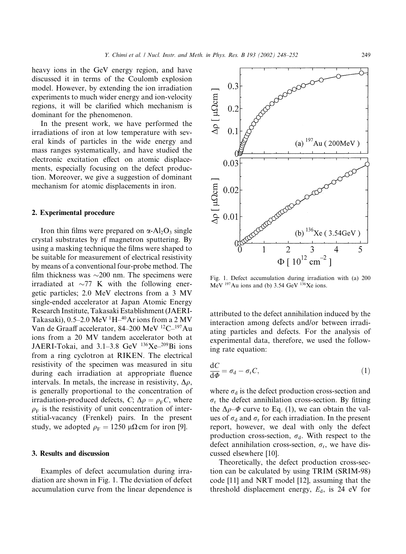heavy ions in the GeV energy region, and have discussed it in terms of the Coulomb explosion model. However, by extending the ion irradiation experiments to much wider energy and ion-velocity regions, it will be clarified which mechanism is dominant for the phenomenon.

In the present work, we have performed the irradiations of iron at low temperature with several kinds of particles in the wide energy and mass ranges systematically, and have studied the electronic excitation effect on atomic displacements, especially focusing on the defect production. Moreover, we give a suggestion of dominant mechanism for atomic displacements in iron.

# 2. Experimental procedure

Iron thin films were prepared on  $\alpha$ -Al<sub>2</sub>O<sub>3</sub> single crystal substrates by rf magnetron sputtering. By using a masking technique the films were shaped to be suitable for measurement of electrical resistivity by means of a conventional four-probe method. The film thickness was  $\sim$ 200 nm. The specimens were irradiated at  $\sim$ 77 K with the following energetic particles; 2.0 MeV electrons from a 3 MV single-ended accelerator at Japan Atomic Energy Research Institute, Takasaki Establishment (JAERI-Takasaki),  $0.5-2.0$  MeV  $^1H^{-40}$ Ar ions from a 2 MV Van de Graaff accelerator, 84–200 MeV 12C–197Au ions from a 20 MV tandem accelerator both at JAERI-Tokai, and  $3.1-3.8$  GeV  $136Xe^{-209}$ Bi ions from a ring cyclotron at RIKEN. The electrical resistivity of the specimen was measured in situ during each irradiation at appropriate fluence intervals. In metals, the increase in resistivity,  $\Delta \rho$ , is generally proportional to the concentration of irradiation-produced defects, C;  $\Delta \rho = \rho_F C$ , where  $\rho_F$  is the resistivity of unit concentration of interstitial-vacancy (Frenkel) pairs. In the present study, we adopted  $\rho_F = 1250 \mu\Omega \text{ cm}$  for iron [9].

### 3. Results and discussion

Examples of defect accumulation during irradiation are shown in Fig. 1. The deviation of defect accumulation curve from the linear dependence is



Fig. 1. Defect accumulation during irradiation with (a) 200 MeV  $^{197}$ Au ions and (b) 3.54 GeV  $^{136}$ Xe ions.

attributed to the defect annihilation induced by the interaction among defects and/or between irradiating particles and defects. For the analysis of experimental data, therefore, we used the following rate equation:

$$
\frac{dC}{d\phi} = \sigma_{\rm d} - \sigma_{\rm r} C,\tag{1}
$$

where  $\sigma_d$  is the defect production cross-section and  $\sigma_{\rm r}$  the defect annihilation cross-section. By fitting the  $\Delta \rho$ – $\Phi$  curve to Eq. (1), we can obtain the values of  $\sigma_d$  and  $\sigma_r$  for each irradiation. In the present report, however, we deal with only the defect production cross-section,  $\sigma_d$ . With respect to the defect annihilation cross-section,  $\sigma_r$ , we have discussed elsewhere [10].

Theoretically, the defect production cross-section can be calculated by using TRIM (SRIM-98) code [11] and NRT model [12], assuming that the threshold displacement energy,  $E_d$ , is 24 eV for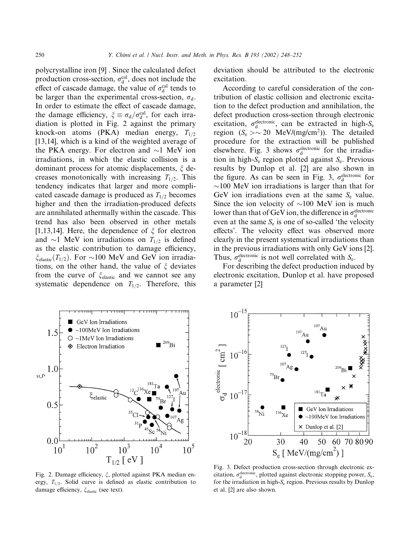polycrystalline iron [9] . Since the calculated defect production cross-section,  $\sigma_d^{\text{cal}}$ , does not include the effect of cascade damage, the value of  $\sigma_d^{\text{cal}}$  tends to be larger than the experimental cross-section,  $\sigma_d$ . In order to estimate the effect of cascade damage, the damage efficiency,  $\xi \equiv \sigma_d / \sigma_d^{\text{cal}}$ , for each irradiation is plotted in Fig. 2 against the primary knock-on atoms (PKA) median energy,  $T_{1/2}$ [13,14], which is a kind of the weighted average of the PKA energy. For electron and  $\sim$ 1 MeV ion irradiations, in which the elastic collision is a dominant process for atomic displacements,  $\xi$  decreases monotonically with increasing  $T_{1/2}$ . This tendency indicates that larger and more complicated cascade damage is produced as  $T_{1/2}$  becomes higher and then the irradiation-produced defects are annihilated athermally within the cascade. This trend has also been observed in other metals [1,13,14]. Here, the dependence of  $\xi$  for electron and  $\sim$ 1 MeV ion irradiations on  $T_{1/2}$  is defined as the elastic contribution to damage efficiency,  $\xi_{elastic}(T_{1/2})$ . For  $\sim$ 100 MeV and GeV ion irradiations, on the other hand, the value of  $\xi$  deviates from the curve of  $\zeta_{elastic}$  and we cannot see any systematic dependence on  $T_{1/2}$ . Therefore, this

deviation should be attributed to the electronic excitation.

According to careful consideration of the contribution of elastic collision and electronic excitation to the defect production and annihilation, the defect production cross-section through electronic excitation,  $\sigma_d^{\text{electronic}}$ , can be extracted in high- $S_e$ region  $(S_e > \sim 20 \text{ MeV/(mg/cm}^2))$ . The detailed procedure for the extraction will be published elsewhere. Fig. 3 shows  $\sigma_d^{\text{electronic}}$  for the irradiation in high- $S_e$  region plotted against  $S_e$ . Previous results by Dunlop et al. [2] are also shown in the figure. As can be seen in Fig. 3,  $\sigma_d^{\text{electronic}}$  for  $\sim$ 100 MeV ion irradiations is larger than that for GeV ion irradiations even at the same  $S_e$  value. Since the ion velocity of  $\sim$ 100 MeV ion is much lower than that of GeV ion, the difference in  $\sigma_\mathrm{d}^\mathrm{electronic}$ even at the same  $S_e$  is one of so-called 'the velocity effects'. The velocity effect was observed more clearly in the present systematical irradiations than in the previous irradiations with only GeV ions [2]. Thus,  $\sigma_d^{\text{electronic}}$  is not well correlated with  $S_e$ .

For describing the defect production induced by electronic excitation, Dunlop et al. have proposed a parameter [2]



 $10<sup>1</sup>$ electronic  $\lceil$  CM $\rceil$  $10$  $5 \degree 10^{-17}$ GeV Ion Irradiations  $136$ Xe  $~100$ MeV Ion Irradiations  $\times$  Dunlop et al. [2]  $10<sup>7</sup>$ 30 60 70 80 90 20 40 50  $S_e$  [ MeV/(mg/cm<sup>2</sup>) ]

Fig. 2. Damage efficiency,  $\xi$ , plotted against PKA median energy,  $T_{1/2}$ . Solid curve is defined as elastic contribution to damage efficiency,  $\xi_{elastic}$  (see text).

Fig. 3. Defect production cross-section through electronic excitation,  $\sigma_d^{\text{electronic}}$ , plotted against electronic stopping power,  $S_e$ , for the irradiation in high- $S<sub>e</sub>$  region. Previous results by Dunlop et al. [2] are also shown.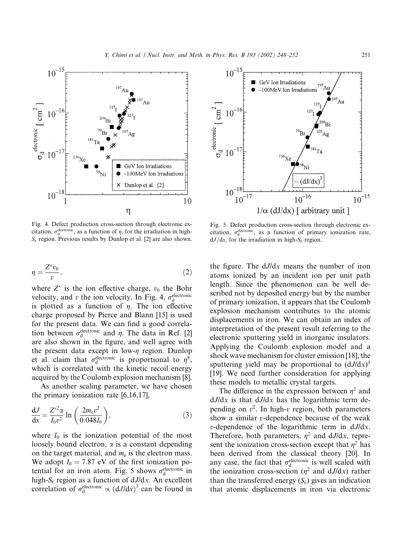

Fig. 4. Defect production cross-section through electronic excitation,  $\sigma_d^{\text{electronic}}$ , as a function of  $\eta$ , for the irradiation in high- $S_e$  region. Previous results by Dunlop et al. [2] are also shown.

$$
\eta = \frac{Z^* v_0}{v},\tag{2}
$$

where  $Z^*$  is the ion effective charge,  $v_0$  the Bohr velocity, and v the ion velocity. In Fig. 4,  $\sigma_d^{\text{electronic}}$ is plotted as a function of  $\eta$ . The ion effective charge proposed by Pierce and Blann [15] is used for the present data. We can find a good correlation between  $\sigma_d^{\text{electronic}}$  and  $\eta$ . The data in Ref. [2] are also shown in the figure, and well agree with the present data except in low- $\eta$  region. Dunlop et al. claim that  $\sigma_d^{\text{electronic}}$  is proportional to  $\eta^8$ , which is correlated with the kinetic recoil energy acquired by the Coulomb explosion mechanism [8].

As another scaling parameter, we have chosen the primary ionization rate [6,16,17],

$$
\frac{\mathrm{d}J}{\mathrm{d}x} = \frac{Z^{*2}\alpha}{I_0 v^2} \ln\left(\frac{2m_e v^2}{0.048I_0}\right),\tag{3}
$$

where  $I_0$  is the ionization potential of the most loosely bound electron,  $\alpha$  is a constant depending on the target material, and  $m_e$  is the electron mass. We adopt  $I_0 = 7.87$  eV of the first ionization potential for an iron atom. Fig. 5 shows  $\sigma_d^{\text{electronic}}$  in high- $S_e$  region as a function of  $dJ/dx$ . An excellent correlation of  $\sigma_d^{\text{electronic}} \propto (dJ/dx)^3$  can be found in



Fig. 5. Defect production cross-section through electronic excitation,  $\sigma_d^{\text{electronic}}$ , as a function of primary ionization rate,  $dJ/dx$ , for the irradiation in high-S<sub>e</sub> region.

the figure. The dJ/dx means the number of iron atoms ionized by an incident ion per unit path length. Since the phenomenon can be well described not by deposited energy but by the number of primary ionization, it appears that the Coulomb explosion mechanism contributes to the atomic displacements in iron. We can obtain an index of interpretation of the present result referring to the electronic sputtering yield in inorganic insulators. Applying the Coulomb explosion model and a shock wave mechanism for cluster emission [18], the sputtering yield may be proportional to  $(dJ/dx)^3$ [19]. We need further consideration for applying these models to metallic crystal targets.

The difference in the expression between  $\eta^2$  and  $dJ/dx$  is that  $dJ/dx$  has the logarithmic term depending on  $v^2$ . In high-v region, both parameters show a similar v-dependence because of the weak  $v$ -dependence of the logarithmic term in  $dJ/dx$ . Therefore, both parameters,  $\eta^2$  and dJ/dx, represent the ionization cross-section except that  $\eta^2$  has been derived from the classical theory [20]. In any case, the fact that  $\sigma_d^{\text{electronic}}$  is well scaled with the ionization cross-section ( $\eta^2$  and dJ/dx) rather than the transferred energy  $(S_e)$  gives an indication that atomic displacements in iron via electronic